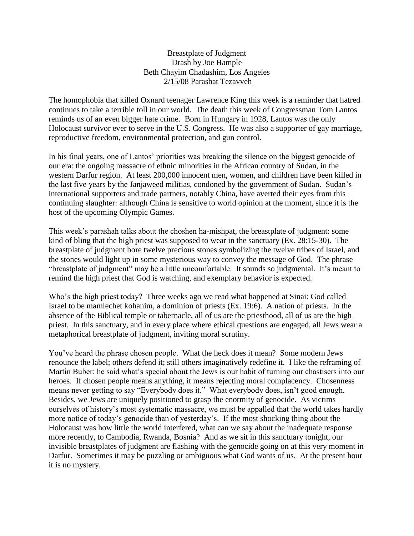## Breastplate of Judgment Drash by Joe Hample Beth Chayim Chadashim, Los Angeles 2/15/08 Parashat Tezavveh

The homophobia that killed Oxnard teenager Lawrence King this week is a reminder that hatred continues to take a terrible toll in our world. The death this week of Congressman Tom Lantos reminds us of an even bigger hate crime. Born in Hungary in 1928, Lantos was the only Holocaust survivor ever to serve in the U.S. Congress. He was also a supporter of gay marriage, reproductive freedom, environmental protection, and gun control.

In his final years, one of Lantos' priorities was breaking the silence on the biggest genocide of our era: the ongoing massacre of ethnic minorities in the African country of Sudan, in the western Darfur region. At least 200,000 innocent men, women, and children have been killed in the last five years by the Janjaweed militias, condoned by the government of Sudan. Sudan's international supporters and trade partners, notably China, have averted their eyes from this continuing slaughter: although China is sensitive to world opinion at the moment, since it is the host of the upcoming Olympic Games.

This week's parashah talks about the choshen ha-mishpat, the breastplate of judgment: some kind of bling that the high priest was supposed to wear in the sanctuary (Ex. 28:15-30). The breastplate of judgment bore twelve precious stones symbolizing the twelve tribes of Israel, and the stones would light up in some mysterious way to convey the message of God. The phrase "breastplate of judgment" may be a little uncomfortable. It sounds so judgmental. It's meant to remind the high priest that God is watching, and exemplary behavior is expected.

Who's the high priest today? Three weeks ago we read what happened at Sinai: God called Israel to be mamlechet kohanim, a dominion of priests (Ex. 19:6). A nation of priests. In the absence of the Biblical temple or tabernacle, all of us are the priesthood, all of us are the high priest. In this sanctuary, and in every place where ethical questions are engaged, all Jews wear a metaphorical breastplate of judgment, inviting moral scrutiny.

You've heard the phrase chosen people. What the heck does it mean? Some modern Jews renounce the label; others defend it; still others imaginatively redefine it. I like the reframing of Martin Buber: he said what's special about the Jews is our habit of turning our chastisers into our heroes. If chosen people means anything, it means rejecting moral complacency. Chosenness means never getting to say "Everybody does it." What everybody does, isn't good enough. Besides, we Jews are uniquely positioned to grasp the enormity of genocide. As victims ourselves of history's most systematic massacre, we must be appalled that the world takes hardly more notice of today's genocide than of yesterday's. If the most shocking thing about the Holocaust was how little the world interfered, what can we say about the inadequate response more recently, to Cambodia, Rwanda, Bosnia? And as we sit in this sanctuary tonight, our invisible breastplates of judgment are flashing with the genocide going on at this very moment in Darfur. Sometimes it may be puzzling or ambiguous what God wants of us. At the present hour it is no mystery.